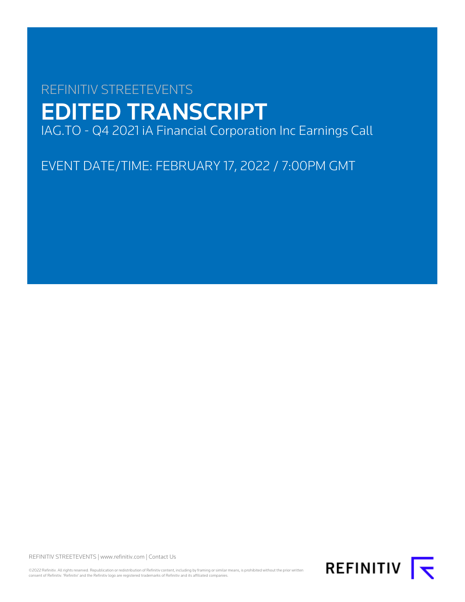# REFINITIV STREETEVENTS EDITED TRANSCRIPT IAG.TO - Q4 2021 iA Financial Corporation Inc Earnings Call

EVENT DATE/TIME: FEBRUARY 17, 2022 / 7:00PM GMT

REFINITIV STREETEVENTS | [www.refinitiv.com](https://www.refinitiv.com/) | [Contact Us](https://www.refinitiv.com/en/contact-us)

©2022 Refinitiv. All rights reserved. Republication or redistribution of Refinitiv content, including by framing or similar means, is prohibited without the prior written<br>consent of Refinitiv. 'Refinitiv' and the Refinitiv

REFINITIV **K**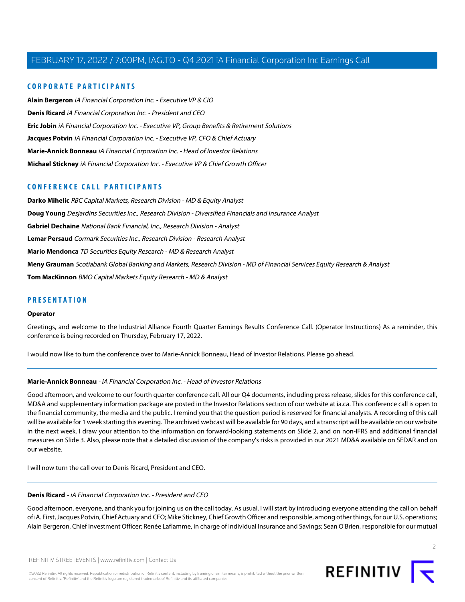### **CORPORATE PARTICIPANTS**

**[Alain Bergeron](#page-13-0)** iA Financial Corporation Inc. - Executive VP & CIO **[Denis Ricard](#page-1-0)** iA Financial Corporation Inc. - President and CEO **[Eric Jobin](#page-10-0)** iA Financial Corporation Inc. - Executive VP, Group Benefits & Retirement Solutions **[Jacques Potvin](#page-4-0)** iA Financial Corporation Inc. - Executive VP, CFO & Chief Actuary **[Marie-Annick Bonneau](#page-1-1)** iA Financial Corporation Inc. - Head of Investor Relations **[Michael Stickney](#page-3-0)** iA Financial Corporation Inc. - Executive VP & Chief Growth Officer

### **CONFERENCE CALL PARTICIPANTS**

**[Darko Mihelic](#page-11-0)** RBC Capital Markets, Research Division - MD & Equity Analyst **[Doug Young](#page-5-0)** Desjardins Securities Inc., Research Division - Diversified Financials and Insurance Analyst **[Gabriel Dechaine](#page-9-0)** National Bank Financial, Inc., Research Division - Analyst **[Lemar Persaud](#page-18-0)** Cormark Securities Inc., Research Division - Research Analyst **[Mario Mendonca](#page-16-0)** TD Securities Equity Research - MD & Research Analyst **[Meny Grauman](#page-14-0)** Scotiabank Global Banking and Markets, Research Division - MD of Financial Services Equity Research & Analyst **[Tom MacKinnon](#page-7-0)** BMO Capital Markets Equity Research - MD & Analyst

### **PRESENTATION**

#### **Operator**

Greetings, and welcome to the Industrial Alliance Fourth Quarter Earnings Results Conference Call. (Operator Instructions) As a reminder, this conference is being recorded on Thursday, February 17, 2022.

<span id="page-1-1"></span>I would now like to turn the conference over to Marie-Annick Bonneau, Head of Investor Relations. Please go ahead.

### **Marie-Annick Bonneau** - iA Financial Corporation Inc. - Head of Investor Relations

Good afternoon, and welcome to our fourth quarter conference call. All our Q4 documents, including press release, slides for this conference call, MD&A and supplementary information package are posted in the Investor Relations section of our website at ia.ca. This conference call is open to the financial community, the media and the public. I remind you that the question period is reserved for financial analysts. A recording of this call will be available for 1 week starting this evening. The archived webcast will be available for 90 days, and a transcript will be available on our website in the next week. I draw your attention to the information on forward-looking statements on Slide 2, and on non-IFRS and additional financial measures on Slide 3. Also, please note that a detailed discussion of the company's risks is provided in our 2021 MD&A available on SEDAR and on our website.

<span id="page-1-0"></span>I will now turn the call over to Denis Ricard, President and CEO.

### **Denis Ricard** - iA Financial Corporation Inc. - President and CEO

Good afternoon, everyone, and thank you for joining us on the call today. As usual, I will start by introducing everyone attending the call on behalf of iA. First, Jacques Potvin, Chief Actuary and CFO; Mike Stickney, Chief Growth Officer and responsible, among other things, for our U.S. operations; Alain Bergeron, Chief Investment Officer; Renée Laflamme, in charge of Individual Insurance and Savings; Sean O'Brien, responsible for our mutual

©2022 Refinitiv. All rights reserved. Republication or redistribution of Refinitiv content, including by framing or similar means, is prohibited without the prior written consent of Refinitiv. 'Refinitiv' and the Refinitiv logo are registered trademarks of Refinitiv and its affiliated companies.

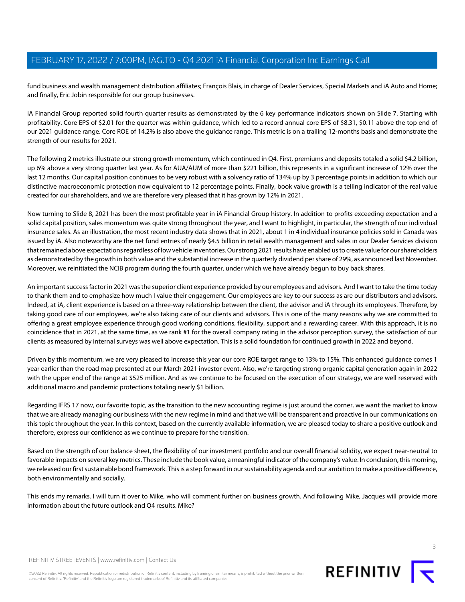fund business and wealth management distribution affiliates; François Blais, in charge of Dealer Services, Special Markets and iA Auto and Home; and finally, Eric Jobin responsible for our group businesses.

iA Financial Group reported solid fourth quarter results as demonstrated by the 6 key performance indicators shown on Slide 7. Starting with profitability. Core EPS of \$2.01 for the quarter was within guidance, which led to a record annual core EPS of \$8.31, \$0.11 above the top end of our 2021 guidance range. Core ROE of 14.2% is also above the guidance range. This metric is on a trailing 12-months basis and demonstrate the strength of our results for 2021.

The following 2 metrics illustrate our strong growth momentum, which continued in Q4. First, premiums and deposits totaled a solid \$4.2 billion, up 6% above a very strong quarter last year. As for AUA/AUM of more than \$221 billion, this represents in a significant increase of 12% over the last 12 months. Our capital position continues to be very robust with a solvency ratio of 134% up by 3 percentage points in addition to which our distinctive macroeconomic protection now equivalent to 12 percentage points. Finally, book value growth is a telling indicator of the real value created for our shareholders, and we are therefore very pleased that it has grown by 12% in 2021.

Now turning to Slide 8, 2021 has been the most profitable year in iA Financial Group history. In addition to profits exceeding expectation and a solid capital position, sales momentum was quite strong throughout the year, and I want to highlight, in particular, the strength of our individual insurance sales. As an illustration, the most recent industry data shows that in 2021, about 1 in 4 individual insurance policies sold in Canada was issued by iA. Also noteworthy are the net fund entries of nearly \$4.5 billion in retail wealth management and sales in our Dealer Services division that remained above expectations regardless of low vehicle inventories. Our strong 2021 results have enabled us to create value for our shareholders as demonstrated by the growth in both value and the substantial increase in the quarterly dividend per share of 29%, as announced last November. Moreover, we reinitiated the NCIB program during the fourth quarter, under which we have already begun to buy back shares.

An important success factor in 2021 was the superior client experience provided by our employees and advisors. And I want to take the time today to thank them and to emphasize how much I value their engagement. Our employees are key to our success as are our distributors and advisors. Indeed, at iA, client experience is based on a three-way relationship between the client, the advisor and iA through its employees. Therefore, by taking good care of our employees, we're also taking care of our clients and advisors. This is one of the many reasons why we are committed to offering a great employee experience through good working conditions, flexibility, support and a rewarding career. With this approach, it is no coincidence that in 2021, at the same time, as we rank #1 for the overall company rating in the advisor perception survey, the satisfaction of our clients as measured by internal surveys was well above expectation. This is a solid foundation for continued growth in 2022 and beyond.

Driven by this momentum, we are very pleased to increase this year our core ROE target range to 13% to 15%. This enhanced guidance comes 1 year earlier than the road map presented at our March 2021 investor event. Also, we're targeting strong organic capital generation again in 2022 with the upper end of the range at \$525 million. And as we continue to be focused on the execution of our strategy, we are well reserved with additional macro and pandemic protections totaling nearly \$1 billion.

Regarding IFRS 17 now, our favorite topic, as the transition to the new accounting regime is just around the corner, we want the market to know that we are already managing our business with the new regime in mind and that we will be transparent and proactive in our communications on this topic throughout the year. In this context, based on the currently available information, we are pleased today to share a positive outlook and therefore, express our confidence as we continue to prepare for the transition.

Based on the strength of our balance sheet, the flexibility of our investment portfolio and our overall financial solidity, we expect near-neutral to favorable impacts on several key metrics. These include the book value, a meaningful indicator of the company's value. In conclusion, this morning, we released our first sustainable bond framework. This is a step forward in our sustainability agenda and our ambition to make a positive difference, both environmentally and socially.

This ends my remarks. I will turn it over to Mike, who will comment further on business growth. And following Mike, Jacques will provide more information about the future outlook and Q4 results. Mike?

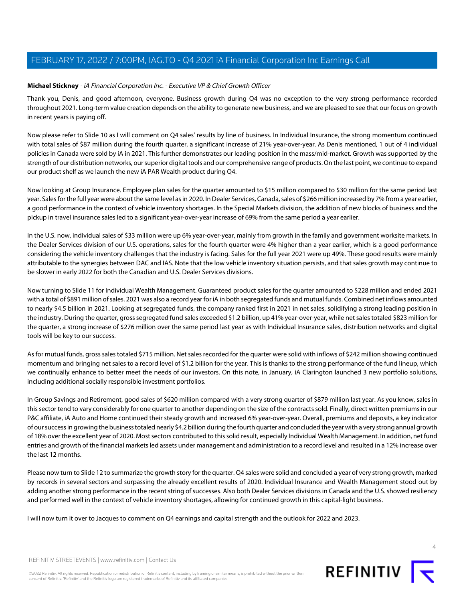### <span id="page-3-0"></span>**Michael Stickney** - iA Financial Corporation Inc. - Executive VP & Chief Growth Officer

Thank you, Denis, and good afternoon, everyone. Business growth during Q4 was no exception to the very strong performance recorded throughout 2021. Long-term value creation depends on the ability to generate new business, and we are pleased to see that our focus on growth in recent years is paying off.

Now please refer to Slide 10 as I will comment on Q4 sales' results by line of business. In Individual Insurance, the strong momentum continued with total sales of \$87 million during the fourth quarter, a significant increase of 21% year-over-year. As Denis mentioned, 1 out of 4 individual policies in Canada were sold by iA in 2021. This further demonstrates our leading position in the mass/mid-market. Growth was supported by the strength of our distribution networks, our superior digital tools and our comprehensive range of products. On the last point, we continue to expand our product shelf as we launch the new iA PAR Wealth product during Q4.

Now looking at Group Insurance. Employee plan sales for the quarter amounted to \$15 million compared to \$30 million for the same period last year. Sales for the full year were about the same level as in 2020. In Dealer Services, Canada, sales of \$266 million increased by 7% from a year earlier, a good performance in the context of vehicle inventory shortages. In the Special Markets division, the addition of new blocks of business and the pickup in travel insurance sales led to a significant year-over-year increase of 69% from the same period a year earlier.

In the U.S. now, individual sales of \$33 million were up 6% year-over-year, mainly from growth in the family and government worksite markets. In the Dealer Services division of our U.S. operations, sales for the fourth quarter were 4% higher than a year earlier, which is a good performance considering the vehicle inventory challenges that the industry is facing. Sales for the full year 2021 were up 49%. These good results were mainly attributable to the synergies between DAC and IAS. Note that the low vehicle inventory situation persists, and that sales growth may continue to be slower in early 2022 for both the Canadian and U.S. Dealer Services divisions.

Now turning to Slide 11 for Individual Wealth Management. Guaranteed product sales for the quarter amounted to \$228 million and ended 2021 with a total of \$891 million of sales. 2021 was also a record year for iA in both segregated funds and mutual funds. Combined net inflows amounted to nearly \$4.5 billion in 2021. Looking at segregated funds, the company ranked first in 2021 in net sales, solidifying a strong leading position in the industry. During the quarter, gross segregated fund sales exceeded \$1.2 billion, up 41% year-over-year, while net sales totaled \$823 million for the quarter, a strong increase of \$276 million over the same period last year as with Individual Insurance sales, distribution networks and digital tools will be key to our success.

As for mutual funds, gross sales totaled \$715 million. Net sales recorded for the quarter were solid with inflows of \$242 million showing continued momentum and bringing net sales to a record level of \$1.2 billion for the year. This is thanks to the strong performance of the fund lineup, which we continually enhance to better meet the needs of our investors. On this note, in January, iA Clarington launched 3 new portfolio solutions, including additional socially responsible investment portfolios.

In Group Savings and Retirement, good sales of \$620 million compared with a very strong quarter of \$879 million last year. As you know, sales in this sector tend to vary considerably for one quarter to another depending on the size of the contracts sold. Finally, direct written premiums in our P&C affiliate, iA Auto and Home continued their steady growth and increased 6% year-over-year. Overall, premiums and deposits, a key indicator of our success in growing the business totaled nearly \$4.2 billion during the fourth quarter and concluded the year with a very strong annual growth of 18% over the excellent year of 2020. Most sectors contributed to this solid result, especially Individual Wealth Management. In addition, net fund entries and growth of the financial markets led assets under management and administration to a record level and resulted in a 12% increase over the last 12 months.

Please now turn to Slide 12 to summarize the growth story for the quarter. Q4 sales were solid and concluded a year of very strong growth, marked by records in several sectors and surpassing the already excellent results of 2020. Individual Insurance and Wealth Management stood out by adding another strong performance in the recent string of successes. Also both Dealer Services divisions in Canada and the U.S. showed resiliency and performed well in the context of vehicle inventory shortages, allowing for continued growth in this capital-light business.

I will now turn it over to Jacques to comment on Q4 earnings and capital strength and the outlook for 2022 and 2023.



©2022 Refinitiv. All rights reserved. Republication or redistribution of Refinitiv content, including by framing or similar means, is prohibited without the prior written consent of Refinitiv. 'Refinitiv' and the Refinitiv logo are registered trademarks of Refinitiv and its affiliated companies.

REFINITIV<sub>I</sub>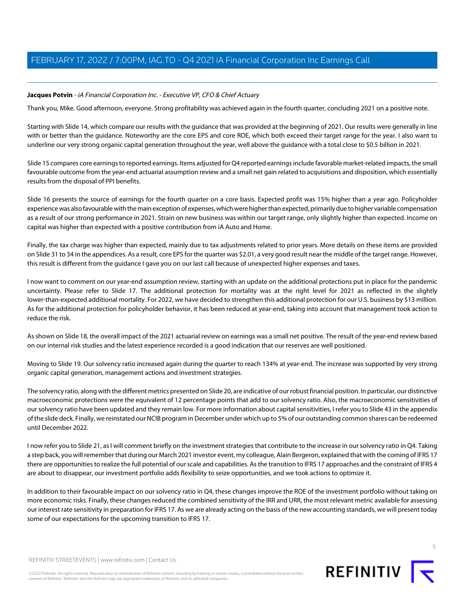### <span id="page-4-0"></span>**Jacques Potvin** - iA Financial Corporation Inc. - Executive VP, CFO & Chief Actuary

Thank you, Mike. Good afternoon, everyone. Strong profitability was achieved again in the fourth quarter, concluding 2021 on a positive note.

Starting with Slide 14, which compare our results with the guidance that was provided at the beginning of 2021. Our results were generally in line with or better than the guidance. Noteworthy are the core EPS and core ROE, which both exceed their target range for the year. I also want to underline our very strong organic capital generation throughout the year, well above the guidance with a total close to \$0.5 billion in 2021.

Slide 15 compares core earnings to reported earnings. Items adjusted for Q4 reported earnings include favorable market-related impacts, the small favourable outcome from the year-end actuarial assumption review and a small net gain related to acquisitions and disposition, which essentially results from the disposal of PPI benefits.

Slide 16 presents the source of earnings for the fourth quarter on a core basis. Expected profit was 15% higher than a year ago. Policyholder experience was also favourable with the main exception of expenses, which were higher than expected, primarily due to higher variable compensation as a result of our strong performance in 2021. Strain on new business was within our target range, only slightly higher than expected. Income on capital was higher than expected with a positive contribution from iA Auto and Home.

Finally, the tax charge was higher than expected, mainly due to tax adjustments related to prior years. More details on these items are provided on Slide 31 to 34 in the appendices. As a result, core EPS for the quarter was \$2.01, a very good result near the middle of the target range. However, this result is different from the guidance I gave you on our last call because of unexpected higher expenses and taxes.

I now want to comment on our year-end assumption review, starting with an update on the additional protections put in place for the pandemic uncertainty. Please refer to Slide 17. The additional protection for mortality was at the right level for 2021 as reflected in the slightly lower-than-expected additional mortality. For 2022, we have decided to strengthen this additional protection for our U.S. business by \$13 million. As for the additional protection for policyholder behavior, it has been reduced at year-end, taking into account that management took action to reduce the risk.

As shown on Slide 18, the overall impact of the 2021 actuarial review on earnings was a small net positive. The result of the year-end review based on our internal risk studies and the latest experience recorded is a good indication that our reserves are well positioned.

Moving to Slide 19. Our solvency ratio increased again during the quarter to reach 134% at year-end. The increase was supported by very strong organic capital generation, management actions and investment strategies.

The solvency ratio, along with the different metrics presented on Slide 20, are indicative of our robust financial position. In particular, our distinctive macroeconomic protections were the equivalent of 12 percentage points that add to our solvency ratio. Also, the macroeconomic sensitivities of our solvency ratio have been updated and they remain low. For more information about capital sensitivities, I refer you to Slide 43 in the appendix of the slide deck. Finally, we reinstated our NCIB program in December under which up to 5% of our outstanding common shares can be redeemed until December 2022.

I now refer you to Slide 21, as I will comment briefly on the investment strategies that contribute to the increase in our solvency ratio in Q4. Taking a step back, you will remember that during our March 2021 investor event, my colleague, Alain Bergeron, explained that with the coming of IFRS 17 there are opportunities to realize the full potential of our scale and capabilities. As the transition to IFRS 17 approaches and the constraint of IFRS 4 are about to disappear, our investment portfolio adds flexibility to seize opportunities, and we took actions to optimize it.

In addition to their favourable impact on our solvency ratio in Q4, these changes improve the ROE of the investment portfolio without taking on more economic risks. Finally, these changes reduced the combined sensitivity of the IRR and URR, the most relevant metric available for assessing our interest rate sensitivity in preparation for IFRS 17. As we are already acting on the basis of the new accounting standards, we will present today some of our expectations for the upcoming transition to IFRS 17.



©2022 Refinitiv. All rights reserved. Republication or redistribution of Refinitiv content, including by framing or similar means, is prohibited without the prior written consent of Refinitiv. 'Refinitiv' and the Refinitiv logo are registered trademarks of Refinitiv and its affiliated companies.



REFINITIV **I**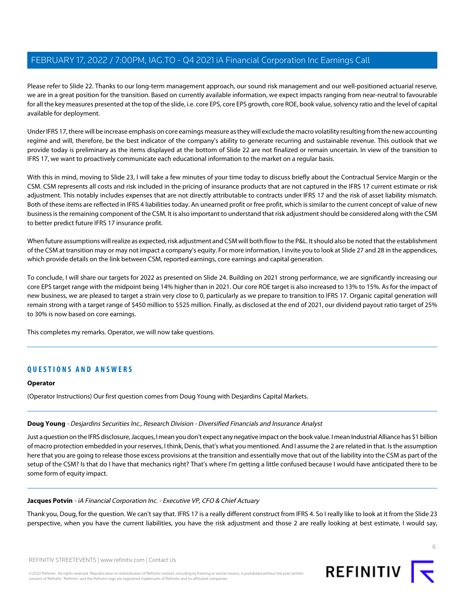Please refer to Slide 22. Thanks to our long-term management approach, our sound risk management and our well-positioned actuarial reserve, we are in a great position for the transition. Based on currently available information, we expect impacts ranging from near-neutral to favourable for all the key measures presented at the top of the slide, i.e. core EPS, core EPS growth, core ROE, book value, solvency ratio and the level of capital available for deployment.

Under IFRS 17, there will be increase emphasis on core earnings measure as they will exclude the macro volatility resulting from the new accounting regime and will, therefore, be the best indicator of the company's ability to generate recurring and sustainable revenue. This outlook that we provide today is preliminary as the items displayed at the bottom of Slide 22 are not finalized or remain uncertain. In view of the transition to IFRS 17, we want to proactively communicate each educational information to the market on a regular basis.

With this in mind, moving to Slide 23, I will take a few minutes of your time today to discuss briefly about the Contractual Service Margin or the CSM. CSM represents all costs and risk included in the pricing of insurance products that are not captured in the IFRS 17 current estimate or risk adjustment. This notably includes expenses that are not directly attributable to contracts under IFRS 17 and the risk of asset liability mismatch. Both of these items are reflected in IFRS 4 liabilities today. An unearned profit or free profit, which is similar to the current concept of value of new business is the remaining component of the CSM. It is also important to understand that risk adjustment should be considered along with the CSM to better predict future IFRS 17 insurance profit.

When future assumptions will realize as expected, risk adjustment and CSM will both flow to the P&L. It should also be noted that the establishment of the CSM at transition may or may not impact a company's equity. For more information, I invite you to look at Slide 27 and 28 in the appendices, which provide details on the link between CSM, reported earnings, core earnings and capital generation.

To conclude, I will share our targets for 2022 as presented on Slide 24. Building on 2021 strong performance, we are significantly increasing our core EPS target range with the midpoint being 14% higher than in 2021. Our core ROE target is also increased to 13% to 15%. As for the impact of new business, we are pleased to target a strain very close to 0, particularly as we prepare to transition to IFRS 17. Organic capital generation will remain strong with a target range of \$450 million to \$525 million. Finally, as disclosed at the end of 2021, our dividend payout ratio target of 25% to 30% is now based on core earnings.

This completes my remarks. Operator, we will now take questions.

### **QUESTIONS AND ANSWERS**

### <span id="page-5-0"></span>**Operator**

(Operator Instructions) Our first question comes from Doug Young with Desjardins Capital Markets.

### **Doug Young** - Desjardins Securities Inc., Research Division - Diversified Financials and Insurance Analyst

Just a question on the IFRS disclosure, Jacques, I mean you don't expect any negative impact on the book value. I mean Industrial Alliance has \$1 billion of macro protection embedded in your reserves, I think, Denis, that's what you mentioned. And I assume the 2 are related in that. Is the assumption here that you are going to release those excess provisions at the transition and essentially move that out of the liability into the CSM as part of the setup of the CSM? Is that do I have that mechanics right? That's where I'm getting a little confused because I would have anticipated there to be some form of equity impact.

### **Jacques Potvin** - iA Financial Corporation Inc. - Executive VP, CFO & Chief Actuary

Thank you, Doug, for the question. We can't say that. IFRS 17 is a really different construct from IFRS 4. So I really like to look at it from the Slide 23 perspective, when you have the current liabilities, you have the risk adjustment and those 2 are really looking at best estimate, I would say,

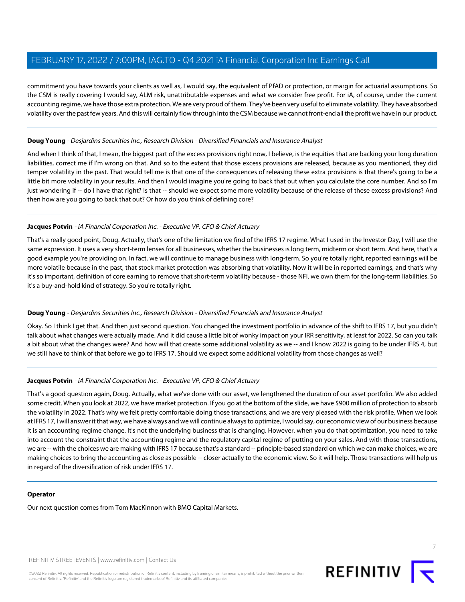commitment you have towards your clients as well as, I would say, the equivalent of PfAD or protection, or margin for actuarial assumptions. So the CSM is really covering I would say, ALM risk, unattributable expenses and what we consider free profit. For iA, of course, under the current accounting regime, we have those extra protection. We are very proud of them. They've been very useful to eliminate volatility. They have absorbed volatility over the past few years. And this will certainly flow through into the CSM because we cannot front-end all the profit we have in our product.

### **Doug Young** - Desjardins Securities Inc., Research Division - Diversified Financials and Insurance Analyst

And when I think of that, I mean, the biggest part of the excess provisions right now, I believe, is the equities that are backing your long duration liabilities, correct me if I'm wrong on that. And so to the extent that those excess provisions are released, because as you mentioned, they did temper volatility in the past. That would tell me is that one of the consequences of releasing these extra provisions is that there's going to be a little bit more volatility in your results. And then I would imagine you're going to back that out when you calculate the core number. And so I'm just wondering if -- do I have that right? Is that -- should we expect some more volatility because of the release of these excess provisions? And then how are you going to back that out? Or how do you think of defining core?

### **Jacques Potvin** - iA Financial Corporation Inc. - Executive VP, CFO & Chief Actuary

That's a really good point, Doug. Actually, that's one of the limitation we find of the IFRS 17 regime. What I used in the Investor Day, I will use the same expression. It uses a very short-term lenses for all businesses, whether the businesses is long term, midterm or short term. And here, that's a good example you're providing on. In fact, we will continue to manage business with long-term. So you're totally right, reported earnings will be more volatile because in the past, that stock market protection was absorbing that volatility. Now it will be in reported earnings, and that's why it's so important, definition of core earning to remove that short-term volatility because - those NFI, we own them for the long-term liabilities. So it's a buy-and-hold kind of strategy. So you're totally right.

### **Doug Young** - Desjardins Securities Inc., Research Division - Diversified Financials and Insurance Analyst

Okay. So I think I get that. And then just second question. You changed the investment portfolio in advance of the shift to IFRS 17, but you didn't talk about what changes were actually made. And it did cause a little bit of wonky impact on your IRR sensitivity, at least for 2022. So can you talk a bit about what the changes were? And how will that create some additional volatility as we -- and I know 2022 is going to be under IFRS 4, but we still have to think of that before we go to IFRS 17. Should we expect some additional volatility from those changes as well?

### **Jacques Potvin** - iA Financial Corporation Inc. - Executive VP, CFO & Chief Actuary

That's a good question again, Doug. Actually, what we've done with our asset, we lengthened the duration of our asset portfolio. We also added some credit. When you look at 2022, we have market protection. If you go at the bottom of the slide, we have \$900 million of protection to absorb the volatility in 2022. That's why we felt pretty comfortable doing those transactions, and we are very pleased with the risk profile. When we look at IFRS 17, I will answer it that way, we have always and we will continue always to optimize, I would say, our economic view of our business because it is an accounting regime change. It's not the underlying business that is changing. However, when you do that optimization, you need to take into account the constraint that the accounting regime and the regulatory capital regime of putting on your sales. And with those transactions, we are -- with the choices we are making with IFRS 17 because that's a standard -- principle-based standard on which we can make choices, we are making choices to bring the accounting as close as possible -- closer actually to the economic view. So it will help. Those transactions will help us in regard of the diversification of risk under IFRS 17.

### **Operator**

Our next question comes from Tom MacKinnon with BMO Capital Markets.

REFINITIV STREETEVENTS | [www.refinitiv.com](https://www.refinitiv.com/) | [Contact Us](https://www.refinitiv.com/en/contact-us)

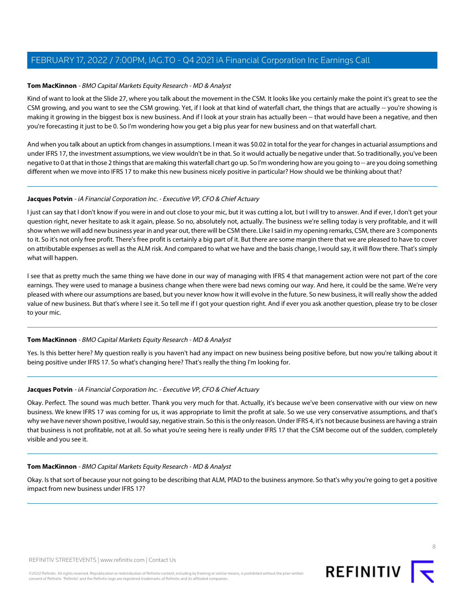### <span id="page-7-0"></span>**Tom MacKinnon** - BMO Capital Markets Equity Research - MD & Analyst

Kind of want to look at the Slide 27, where you talk about the movement in the CSM. It looks like you certainly make the point it's great to see the CSM growing, and you want to see the CSM growing. Yet, if I look at that kind of waterfall chart, the things that are actually -- you're showing is making it growing in the biggest box is new business. And if I look at your strain has actually been -- that would have been a negative, and then you're forecasting it just to be 0. So I'm wondering how you get a big plus year for new business and on that waterfall chart.

And when you talk about an uptick from changes in assumptions. I mean it was \$0.02 in total for the year for changes in actuarial assumptions and under IFRS 17, the investment assumptions, we view wouldn't be in that. So it would actually be negative under that. So traditionally, you've been negative to 0 at that in those 2 things that are making this waterfall chart go up. So I'm wondering how are you going to -- are you doing something different when we move into IFRS 17 to make this new business nicely positive in particular? How should we be thinking about that?

### **Jacques Potvin** - iA Financial Corporation Inc. - Executive VP, CFO & Chief Actuary

I just can say that I don't know if you were in and out close to your mic, but it was cutting a lot, but I will try to answer. And if ever, I don't get your question right, never hesitate to ask it again, please. So no, absolutely not, actually. The business we're selling today is very profitable, and it will show when we will add new business year in and year out, there will be CSM there. Like I said in my opening remarks, CSM, there are 3 components to it. So it's not only free profit. There's free profit is certainly a big part of it. But there are some margin there that we are pleased to have to cover on attributable expenses as well as the ALM risk. And compared to what we have and the basis change, I would say, it will flow there. That's simply what will happen.

I see that as pretty much the same thing we have done in our way of managing with IFRS 4 that management action were not part of the core earnings. They were used to manage a business change when there were bad news coming our way. And here, it could be the same. We're very pleased with where our assumptions are based, but you never know how it will evolve in the future. So new business, it will really show the added value of new business. But that's where I see it. So tell me if I got your question right. And if ever you ask another question, please try to be closer to your mic.

### **Tom MacKinnon** - BMO Capital Markets Equity Research - MD & Analyst

Yes. Is this better here? My question really is you haven't had any impact on new business being positive before, but now you're talking about it being positive under IFRS 17. So what's changing here? That's really the thing I'm looking for.

### **Jacques Potvin** - iA Financial Corporation Inc. - Executive VP, CFO & Chief Actuary

Okay. Perfect. The sound was much better. Thank you very much for that. Actually, it's because we've been conservative with our view on new business. We knew IFRS 17 was coming for us, it was appropriate to limit the profit at sale. So we use very conservative assumptions, and that's why we have never shown positive, I would say, negative strain. So this is the only reason. Under IFRS 4, it's not because business are having a strain that business is not profitable, not at all. So what you're seeing here is really under IFRS 17 that the CSM become out of the sudden, completely visible and you see it.

### **Tom MacKinnon** - BMO Capital Markets Equity Research - MD & Analyst

Okay. Is that sort of because your not going to be describing that ALM, PfAD to the business anymore. So that's why you're going to get a positive impact from new business under IFRS 17?

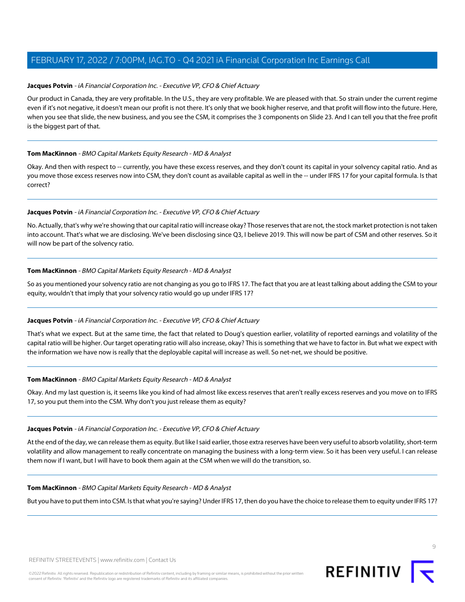### **Jacques Potvin** - iA Financial Corporation Inc. - Executive VP, CFO & Chief Actuary

Our product in Canada, they are very profitable. In the U.S., they are very profitable. We are pleased with that. So strain under the current regime even if it's not negative, it doesn't mean our profit is not there. It's only that we book higher reserve, and that profit will flow into the future. Here, when you see that slide, the new business, and you see the CSM, it comprises the 3 components on Slide 23. And I can tell you that the free profit is the biggest part of that.

### **Tom MacKinnon** - BMO Capital Markets Equity Research - MD & Analyst

Okay. And then with respect to -- currently, you have these excess reserves, and they don't count its capital in your solvency capital ratio. And as you move those excess reserves now into CSM, they don't count as available capital as well in the -- under IFRS 17 for your capital formula. Is that correct?

### **Jacques Potvin** - iA Financial Corporation Inc. - Executive VP, CFO & Chief Actuary

No. Actually, that's why we're showing that our capital ratio will increase okay? Those reserves that are not, the stock market protection is not taken into account. That's what we are disclosing. We've been disclosing since Q3, I believe 2019. This will now be part of CSM and other reserves. So it will now be part of the solvency ratio.

### **Tom MacKinnon** - BMO Capital Markets Equity Research - MD & Analyst

So as you mentioned your solvency ratio are not changing as you go to IFRS 17. The fact that you are at least talking about adding the CSM to your equity, wouldn't that imply that your solvency ratio would go up under IFRS 17?

### **Jacques Potvin** - iA Financial Corporation Inc. - Executive VP, CFO & Chief Actuary

That's what we expect. But at the same time, the fact that related to Doug's question earlier, volatility of reported earnings and volatility of the capital ratio will be higher. Our target operating ratio will also increase, okay? This is something that we have to factor in. But what we expect with the information we have now is really that the deployable capital will increase as well. So net-net, we should be positive.

### **Tom MacKinnon** - BMO Capital Markets Equity Research - MD & Analyst

Okay. And my last question is, it seems like you kind of had almost like excess reserves that aren't really excess reserves and you move on to IFRS 17, so you put them into the CSM. Why don't you just release them as equity?

### **Jacques Potvin** - iA Financial Corporation Inc. - Executive VP, CFO & Chief Actuary

At the end of the day, we can release them as equity. But like I said earlier, those extra reserves have been very useful to absorb volatility, short-term volatility and allow management to really concentrate on managing the business with a long-term view. So it has been very useful. I can release them now if I want, but I will have to book them again at the CSM when we will do the transition, so.

### **Tom MacKinnon** - BMO Capital Markets Equity Research - MD & Analyst

But you have to put them into CSM. Is that what you're saying? Under IFRS 17, then do you have the choice to release them to equity under IFRS 17?

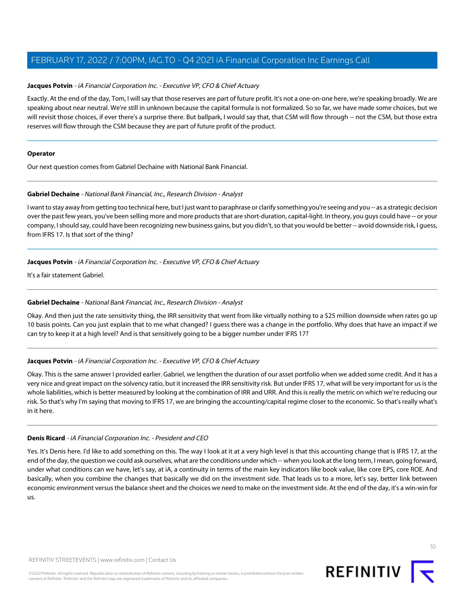### **Jacques Potvin** - iA Financial Corporation Inc. - Executive VP, CFO & Chief Actuary

Exactly. At the end of the day, Tom, I will say that those reserves are part of future profit. It's not a one-on-one here, we're speaking broadly. We are speaking about near neutral. We're still in unknown because the capital formula is not formalized. So so far, we have made some choices, but we will revisit those choices, if ever there's a surprise there. But ballpark, I would say that, that CSM will flow through -- not the CSM, but those extra reserves will flow through the CSM because they are part of future profit of the product.

### **Operator**

<span id="page-9-0"></span>Our next question comes from Gabriel Dechaine with National Bank Financial.

### **Gabriel Dechaine** - National Bank Financial, Inc., Research Division - Analyst

I want to stay away from getting too technical here, but I just want to paraphrase or clarify something you're seeing and you -- as a strategic decision over the past few years, you've been selling more and more products that are short-duration, capital-light. In theory, you guys could have -- or your company, I should say, could have been recognizing new business gains, but you didn't, so that you would be better -- avoid downside risk, I guess, from IFRS 17. Is that sort of the thing?

### **Jacques Potvin** - iA Financial Corporation Inc. - Executive VP, CFO & Chief Actuary

It's a fair statement Gabriel.

### **Gabriel Dechaine** - National Bank Financial, Inc., Research Division - Analyst

Okay. And then just the rate sensitivity thing, the IRR sensitivity that went from like virtually nothing to a \$25 million downside when rates go up 10 basis points. Can you just explain that to me what changed? I guess there was a change in the portfolio. Why does that have an impact if we can try to keep it at a high level? And is that sensitively going to be a bigger number under IFRS 17?

### **Jacques Potvin** - iA Financial Corporation Inc. - Executive VP, CFO & Chief Actuary

Okay. This is the same answer I provided earlier. Gabriel, we lengthen the duration of our asset portfolio when we added some credit. And it has a very nice and great impact on the solvency ratio, but it increased the IRR sensitivity risk. But under IFRS 17, what will be very important for us is the whole liabilities, which is better measured by looking at the combination of IRR and URR. And this is really the metric on which we're reducing our risk. So that's why I'm saying that moving to IFRS 17, we are bringing the accounting/capital regime closer to the economic. So that's really what's in it here.

### **Denis Ricard** - iA Financial Corporation Inc. - President and CEO

Yes. It's Denis here. I'd like to add something on this. The way I look at it at a very high level is that this accounting change that is IFRS 17, at the end of the day, the question we could ask ourselves, what are the conditions under which -- when you look at the long term, I mean, going forward, under what conditions can we have, let's say, at iA, a continuity in terms of the main key indicators like book value, like core EPS, core ROE. And basically, when you combine the changes that basically we did on the investment side. That leads us to a more, let's say, better link between economic environment versus the balance sheet and the choices we need to make on the investment side. At the end of the day, it's a win-win for us.

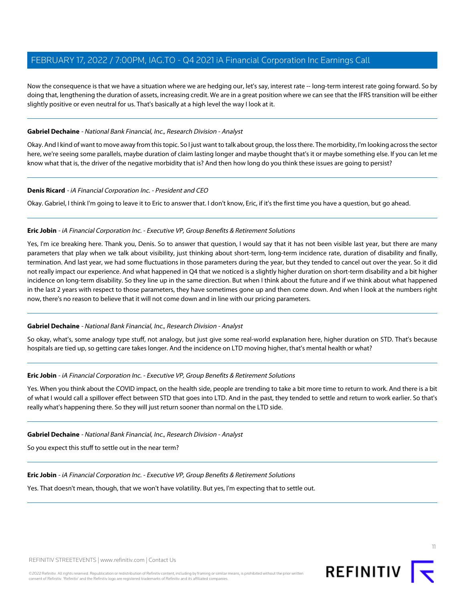Now the consequence is that we have a situation where we are hedging our, let's say, interest rate -- long-term interest rate going forward. So by doing that, lengthening the duration of assets, increasing credit. We are in a great position where we can see that the IFRS transition will be either slightly positive or even neutral for us. That's basically at a high level the way I look at it.

### **Gabriel Dechaine** - National Bank Financial, Inc., Research Division - Analyst

Okay. And I kind of want to move away from this topic. So I just want to talk about group, the loss there. The morbidity, I'm looking across the sector here, we're seeing some parallels, maybe duration of claim lasting longer and maybe thought that's it or maybe something else. If you can let me know what that is, the driver of the negative morbidity that is? And then how long do you think these issues are going to persist?

### **Denis Ricard** - iA Financial Corporation Inc. - President and CEO

<span id="page-10-0"></span>Okay. Gabriel, I think I'm going to leave it to Eric to answer that. I don't know, Eric, if it's the first time you have a question, but go ahead.

### **Eric Jobin** - iA Financial Corporation Inc. - Executive VP, Group Benefits & Retirement Solutions

Yes, I'm ice breaking here. Thank you, Denis. So to answer that question, I would say that it has not been visible last year, but there are many parameters that play when we talk about visibility, just thinking about short-term, long-term incidence rate, duration of disability and finally, termination. And last year, we had some fluctuations in those parameters during the year, but they tended to cancel out over the year. So it did not really impact our experience. And what happened in Q4 that we noticed is a slightly higher duration on short-term disability and a bit higher incidence on long-term disability. So they line up in the same direction. But when I think about the future and if we think about what happened in the last 2 years with respect to those parameters, they have sometimes gone up and then come down. And when I look at the numbers right now, there's no reason to believe that it will not come down and in line with our pricing parameters.

### **Gabriel Dechaine** - National Bank Financial, Inc., Research Division - Analyst

So okay, what's, some analogy type stuff, not analogy, but just give some real-world explanation here, higher duration on STD. That's because hospitals are tied up, so getting care takes longer. And the incidence on LTD moving higher, that's mental health or what?

### **Eric Jobin** - iA Financial Corporation Inc. - Executive VP, Group Benefits & Retirement Solutions

Yes. When you think about the COVID impact, on the health side, people are trending to take a bit more time to return to work. And there is a bit of what I would call a spillover effect between STD that goes into LTD. And in the past, they tended to settle and return to work earlier. So that's really what's happening there. So they will just return sooner than normal on the LTD side.

### **Gabriel Dechaine** - National Bank Financial, Inc., Research Division - Analyst

So you expect this stuff to settle out in the near term?

**Eric Jobin** - iA Financial Corporation Inc. - Executive VP, Group Benefits & Retirement Solutions

Yes. That doesn't mean, though, that we won't have volatility. But yes, I'm expecting that to settle out.

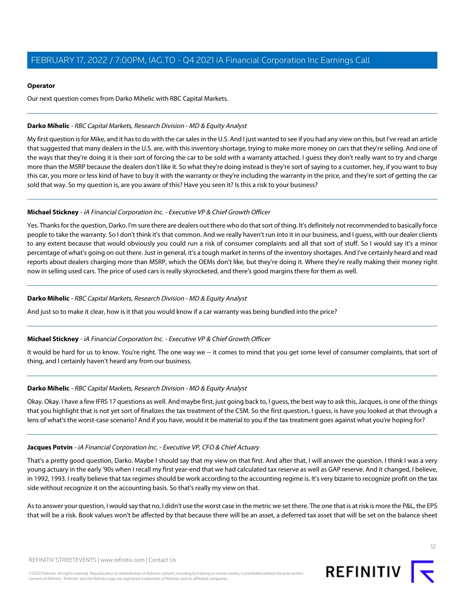### **Operator**

Our next question comes from Darko Mihelic with RBC Capital Markets.

### <span id="page-11-0"></span>**Darko Mihelic** - RBC Capital Markets, Research Division - MD & Equity Analyst

My first question is for Mike, and it has to do with the car sales in the U.S. And I just wanted to see if you had any view on this, but I've read an article that suggested that many dealers in the U.S. are, with this inventory shortage, trying to make more money on cars that they're selling. And one of the ways that they're doing it is their sort of forcing the car to be sold with a warranty attached. I guess they don't really want to try and charge more than the MSRP because the dealers don't like it. So what they're doing instead is they're sort of saying to a customer, hey, if you want to buy this car, you more or less kind of have to buy it with the warranty or they're including the warranty in the price, and they're sort of getting the car sold that way. So my question is, are you aware of this? Have you seen it? Is this a risk to your business?

### **Michael Stickney** - iA Financial Corporation Inc. - Executive VP & Chief Growth Officer

Yes. Thanks for the question, Darko. I'm sure there are dealers out there who do that sort of thing. It's definitely not recommended to basically force people to take the warranty. So I don't think it's that common. And we really haven't run into it in our business, and I guess, with our dealer clients to any extent because that would obviously you could run a risk of consumer complaints and all that sort of stuff. So I would say it's a minor percentage of what's going on out there. Just in general, it's a tough market in terms of the inventory shortages. And I've certainly heard and read reports about dealers charging more than MSRP, which the OEMs don't like, but they're doing it. Where they're really making their money right now in selling used cars. The price of used cars is really skyrocketed, and there's good margins there for them as well.

### **Darko Mihelic** - RBC Capital Markets, Research Division - MD & Equity Analyst

And just so to make it clear, how is it that you would know if a car warranty was being bundled into the price?

### **Michael Stickney** - iA Financial Corporation Inc. - Executive VP & Chief Growth Officer

It would be hard for us to know. You're right. The one way we -- it comes to mind that you get some level of consumer complaints, that sort of thing, and I certainly haven't heard any from our business.

### **Darko Mihelic** - RBC Capital Markets, Research Division - MD & Equity Analyst

Okay. Okay. I have a few IFRS 17 questions as well. And maybe first, just going back to, I guess, the best way to ask this, Jacques, is one of the things that you highlight that is not yet sort of finalizes the tax treatment of the CSM. So the first question, I guess, is have you looked at that through a lens of what's the worst-case scenario? And if you have, would it be material to you if the tax treatment goes against what you're hoping for?

### **Jacques Potvin** - iA Financial Corporation Inc. - Executive VP, CFO & Chief Actuary

That's a pretty good question, Darko. Maybe I should say that my view on that first. And after that, I will answer the question. I think I was a very young actuary in the early '90s when I recall my first year-end that we had calculated tax reserve as well as GAP reserve. And it changed, I believe, in 1992, 1993. I really believe that tax regimes should be work according to the accounting regime is. It's very bizarre to recognize profit on the tax side without recognize it on the accounting basis. So that's really my view on that.

As to answer your question, I would say that no, I didn't use the worst case in the metric we set there. The one that is at risk is more the P&L, the EPS that will be a risk. Book values won't be affected by that because there will be an asset, a deferred tax asset that will be set on the balance sheet

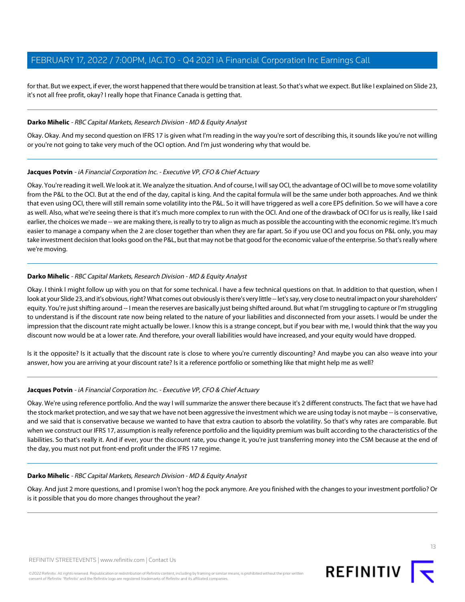for that. But we expect, if ever, the worst happened that there would be transition at least. So that's what we expect. But like I explained on Slide 23, it's not all free profit, okay? I really hope that Finance Canada is getting that.

### **Darko Mihelic** - RBC Capital Markets, Research Division - MD & Equity Analyst

Okay. Okay. And my second question on IFRS 17 is given what I'm reading in the way you're sort of describing this, it sounds like you're not willing or you're not going to take very much of the OCI option. And I'm just wondering why that would be.

### **Jacques Potvin** - iA Financial Corporation Inc. - Executive VP, CFO & Chief Actuary

Okay. You're reading it well. We look at it. We analyze the situation. And of course, I will say OCI, the advantage of OCI will be to move some volatility from the P&L to the OCI. But at the end of the day, capital is king. And the capital formula will be the same under both approaches. And we think that even using OCI, there will still remain some volatility into the P&L. So it will have triggered as well a core EPS definition. So we will have a core as well. Also, what we're seeing there is that it's much more complex to run with the OCI. And one of the drawback of OCI for us is really, like I said earlier, the choices we made -- we are making there, is really to try to align as much as possible the accounting with the economic regime. It's much easier to manage a company when the 2 are closer together than when they are far apart. So if you use OCI and you focus on P&L only, you may take investment decision that looks good on the P&L, but that may not be that good for the economic value of the enterprise. So that's really where we're moving.

### **Darko Mihelic** - RBC Capital Markets, Research Division - MD & Equity Analyst

Okay. I think I might follow up with you on that for some technical. I have a few technical questions on that. In addition to that question, when I look at your Slide 23, and it's obvious, right? What comes out obviously is there's very little -- let's say, very close to neutral impact on your shareholders' equity. You're just shifting around -- I mean the reserves are basically just being shifted around. But what I'm struggling to capture or I'm struggling to understand is if the discount rate now being related to the nature of your liabilities and disconnected from your assets. I would be under the impression that the discount rate might actually be lower. I know this is a strange concept, but if you bear with me, I would think that the way you discount now would be at a lower rate. And therefore, your overall liabilities would have increased, and your equity would have dropped.

Is it the opposite? Is it actually that the discount rate is close to where you're currently discounting? And maybe you can also weave into your answer, how you are arriving at your discount rate? Is it a reference portfolio or something like that might help me as well?

### **Jacques Potvin** - iA Financial Corporation Inc. - Executive VP, CFO & Chief Actuary

Okay. We're using reference portfolio. And the way I will summarize the answer there because it's 2 different constructs. The fact that we have had the stock market protection, and we say that we have not been aggressive the investment which we are using today is not maybe -- is conservative, and we said that is conservative because we wanted to have that extra caution to absorb the volatility. So that's why rates are comparable. But when we construct our IFRS 17, assumption is really reference portfolio and the liquidity premium was built according to the characteristics of the liabilities. So that's really it. And if ever, your the discount rate, you change it, you're just transferring money into the CSM because at the end of the day, you must not put front-end profit under the IFRS 17 regime.

### **Darko Mihelic** - RBC Capital Markets, Research Division - MD & Equity Analyst

Okay. And just 2 more questions, and I promise I won't hog the pock anymore. Are you finished with the changes to your investment portfolio? Or is it possible that you do more changes throughout the year?

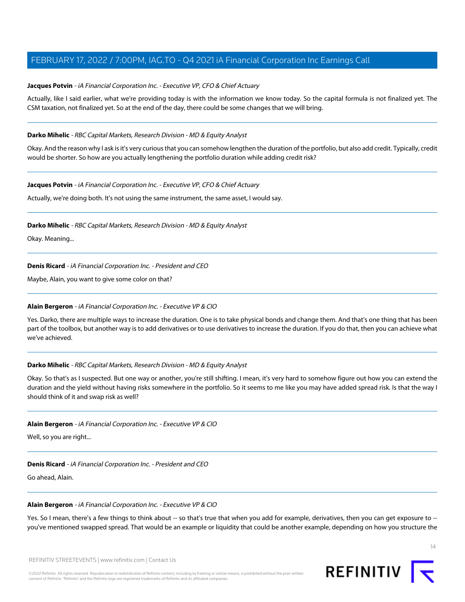### **Jacques Potvin** - iA Financial Corporation Inc. - Executive VP, CFO & Chief Actuary

Actually, like I said earlier, what we're providing today is with the information we know today. So the capital formula is not finalized yet. The CSM taxation, not finalized yet. So at the end of the day, there could be some changes that we will bring.

### **Darko Mihelic** - RBC Capital Markets, Research Division - MD & Equity Analyst

Okay. And the reason why I ask is it's very curious that you can somehow lengthen the duration of the portfolio, but also add credit. Typically, credit would be shorter. So how are you actually lengthening the portfolio duration while adding credit risk?

### **Jacques Potvin** - iA Financial Corporation Inc. - Executive VP, CFO & Chief Actuary

Actually, we're doing both. It's not using the same instrument, the same asset, I would say.

### **Darko Mihelic** - RBC Capital Markets, Research Division - MD & Equity Analyst

Okay. Meaning...

### **Denis Ricard** - iA Financial Corporation Inc. - President and CEO

<span id="page-13-0"></span>Maybe, Alain, you want to give some color on that?

### **Alain Bergeron** - iA Financial Corporation Inc. - Executive VP & CIO

Yes. Darko, there are multiple ways to increase the duration. One is to take physical bonds and change them. And that's one thing that has been part of the toolbox, but another way is to add derivatives or to use derivatives to increase the duration. If you do that, then you can achieve what we've achieved.

### **Darko Mihelic** - RBC Capital Markets, Research Division - MD & Equity Analyst

Okay. So that's as I suspected. But one way or another, you're still shifting. I mean, it's very hard to somehow figure out how you can extend the duration and the yield without having risks somewhere in the portfolio. So it seems to me like you may have added spread risk. Is that the way I should think of it and swap risk as well?

### **Alain Bergeron** - iA Financial Corporation Inc. - Executive VP & CIO

Well, so you are right...

### **Denis Ricard** - iA Financial Corporation Inc. - President and CEO

Go ahead, Alain.

### **Alain Bergeron** - iA Financial Corporation Inc. - Executive VP & CIO

Yes. So I mean, there's a few things to think about -- so that's true that when you add for example, derivatives, then you can get exposure to -you've mentioned swapped spread. That would be an example or liquidity that could be another example, depending on how you structure the

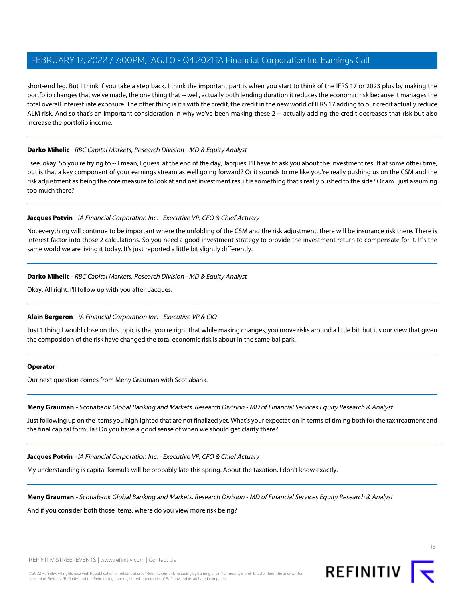short-end leg. But I think if you take a step back, I think the important part is when you start to think of the IFRS 17 or 2023 plus by making the portfolio changes that we've made, the one thing that -- well, actually both lending duration it reduces the economic risk because it manages the total overall interest rate exposure. The other thing is it's with the credit, the credit in the new world of IFRS 17 adding to our credit actually reduce ALM risk. And so that's an important consideration in why we've been making these 2 -- actually adding the credit decreases that risk but also increase the portfolio income.

### **Darko Mihelic** - RBC Capital Markets, Research Division - MD & Equity Analyst

I see. okay. So you're trying to -- I mean, I guess, at the end of the day, Jacques, I'll have to ask you about the investment result at some other time, but is that a key component of your earnings stream as well going forward? Or it sounds to me like you're really pushing us on the CSM and the risk adjustment as being the core measure to look at and net investment result is something that's really pushed to the side? Or am I just assuming too much there?

### **Jacques Potvin** - iA Financial Corporation Inc. - Executive VP, CFO & Chief Actuary

No, everything will continue to be important where the unfolding of the CSM and the risk adjustment, there will be insurance risk there. There is interest factor into those 2 calculations. So you need a good investment strategy to provide the investment return to compensate for it. It's the same world we are living it today. It's just reported a little bit slightly differently.

### **Darko Mihelic** - RBC Capital Markets, Research Division - MD & Equity Analyst

Okay. All right. I'll follow up with you after, Jacques.

### **Alain Bergeron** - iA Financial Corporation Inc. - Executive VP & CIO

Just 1 thing I would close on this topic is that you're right that while making changes, you move risks around a little bit, but it's our view that given the composition of the risk have changed the total economic risk is about in the same ballpark.

### <span id="page-14-0"></span>**Operator**

Our next question comes from Meny Grauman with Scotiabank.

**Meny Grauman** - Scotiabank Global Banking and Markets, Research Division - MD of Financial Services Equity Research & Analyst

Just following up on the items you highlighted that are not finalized yet. What's your expectation in terms of timing both for the tax treatment and the final capital formula? Do you have a good sense of when we should get clarity there?

### **Jacques Potvin** - iA Financial Corporation Inc. - Executive VP, CFO & Chief Actuary

My understanding is capital formula will be probably late this spring. About the taxation, I don't know exactly.

### **Meny Grauman** - Scotiabank Global Banking and Markets, Research Division - MD of Financial Services Equity Research & Analyst

And if you consider both those items, where do you view more risk being?



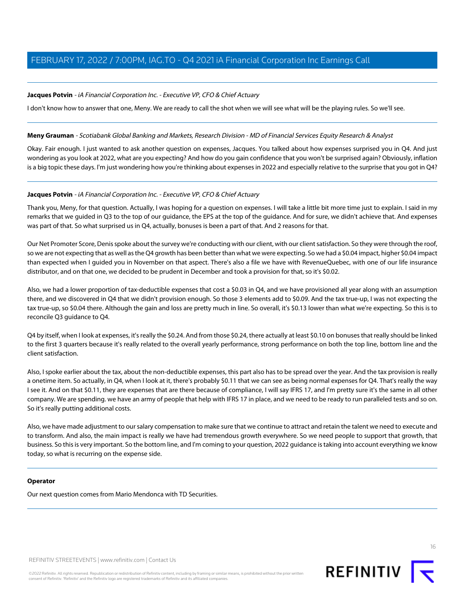### **Jacques Potvin** - iA Financial Corporation Inc. - Executive VP, CFO & Chief Actuary

I don't know how to answer that one, Meny. We are ready to call the shot when we will see what will be the playing rules. So we'll see.

### **Meny Grauman** - Scotiabank Global Banking and Markets, Research Division - MD of Financial Services Equity Research & Analyst

Okay. Fair enough. I just wanted to ask another question on expenses, Jacques. You talked about how expenses surprised you in Q4. And just wondering as you look at 2022, what are you expecting? And how do you gain confidence that you won't be surprised again? Obviously, inflation is a big topic these days. I'm just wondering how you're thinking about expenses in 2022 and especially relative to the surprise that you got in Q4?

### **Jacques Potvin** - iA Financial Corporation Inc. - Executive VP, CFO & Chief Actuary

Thank you, Meny, for that question. Actually, I was hoping for a question on expenses. I will take a little bit more time just to explain. I said in my remarks that we guided in Q3 to the top of our guidance, the EPS at the top of the guidance. And for sure, we didn't achieve that. And expenses was part of that. So what surprised us in Q4, actually, bonuses is been a part of that. And 2 reasons for that.

Our Net Promoter Score, Denis spoke about the survey we're conducting with our client, with our client satisfaction. So they were through the roof, so we are not expecting that as well as the Q4 growth has been better than what we were expecting. So we had a \$0.04 impact, higher \$0.04 impact than expected when I guided you in November on that aspect. There's also a file we have with RevenueQuebec, with one of our life insurance distributor, and on that one, we decided to be prudent in December and took a provision for that, so it's \$0.02.

Also, we had a lower proportion of tax-deductible expenses that cost a \$0.03 in Q4, and we have provisioned all year along with an assumption there, and we discovered in Q4 that we didn't provision enough. So those 3 elements add to \$0.09. And the tax true-up, I was not expecting the tax true-up, so \$0.04 there. Although the gain and loss are pretty much in line. So overall, it's \$0.13 lower than what we're expecting. So this is to reconcile Q3 guidance to Q4.

Q4 by itself, when I look at expenses, it's really the \$0.24. And from those \$0.24, there actually at least \$0.10 on bonuses that really should be linked to the first 3 quarters because it's really related to the overall yearly performance, strong performance on both the top line, bottom line and the client satisfaction.

Also, I spoke earlier about the tax, about the non-deductible expenses, this part also has to be spread over the year. And the tax provision is really a onetime item. So actually, in Q4, when I look at it, there's probably \$0.11 that we can see as being normal expenses for Q4. That's really the way I see it. And on that \$0.11, they are expenses that are there because of compliance, I will say IFRS 17, and I'm pretty sure it's the same in all other company. We are spending. we have an army of people that help with IFRS 17 in place, and we need to be ready to run paralleled tests and so on. So it's really putting additional costs.

Also, we have made adjustment to our salary compensation to make sure that we continue to attract and retain the talent we need to execute and to transform. And also, the main impact is really we have had tremendous growth everywhere. So we need people to support that growth, that business. So this is very important. So the bottom line, and I'm coming to your question, 2022 guidance is taking into account everything we know today, so what is recurring on the expense side.

### **Operator**

Our next question comes from Mario Mendonca with TD Securities.

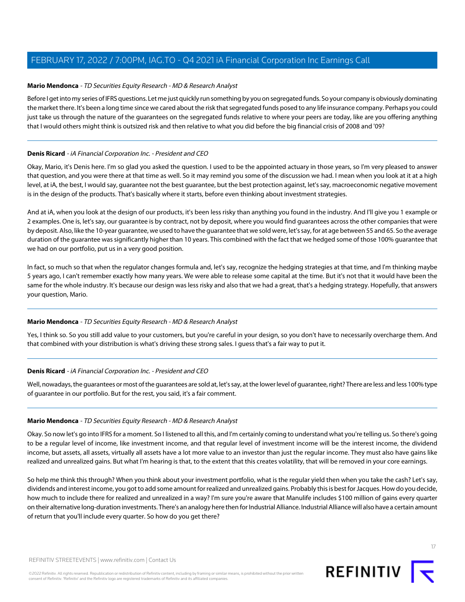### <span id="page-16-0"></span>**Mario Mendonca** - TD Securities Equity Research - MD & Research Analyst

Before I get into my series of IFRS questions. Let me just quickly run something by you on segregated funds. So your company is obviously dominating the market there. It's been a long time since we cared about the risk that segregated funds posed to any life insurance company. Perhaps you could just take us through the nature of the guarantees on the segregated funds relative to where your peers are today, like are you offering anything that I would others might think is outsized risk and then relative to what you did before the big financial crisis of 2008 and '09?

### **Denis Ricard** - iA Financial Corporation Inc. - President and CEO

Okay, Mario, it's Denis here. I'm so glad you asked the question. I used to be the appointed actuary in those years, so I'm very pleased to answer that question, and you were there at that time as well. So it may remind you some of the discussion we had. I mean when you look at it at a high level, at iA, the best, I would say, guarantee not the best guarantee, but the best protection against, let's say, macroeconomic negative movement is in the design of the products. That's basically where it starts, before even thinking about investment strategies.

And at iA, when you look at the design of our products, it's been less risky than anything you found in the industry. And I'll give you 1 example or 2 examples. One is, let's say, our guarantee is by contract, not by deposit, where you would find guarantees across the other companies that were by deposit. Also, like the 10-year guarantee, we used to have the guarantee that we sold were, let's say, for at age between 55 and 65. So the average duration of the guarantee was significantly higher than 10 years. This combined with the fact that we hedged some of those 100% guarantee that we had on our portfolio, put us in a very good position.

In fact, so much so that when the regulator changes formula and, let's say, recognize the hedging strategies at that time, and I'm thinking maybe 5 years ago, I can't remember exactly how many years. We were able to release some capital at the time. But it's not that it would have been the same for the whole industry. It's because our design was less risky and also that we had a great, that's a hedging strategy. Hopefully, that answers your question, Mario.

### **Mario Mendonca** - TD Securities Equity Research - MD & Research Analyst

Yes, I think so. So you still add value to your customers, but you're careful in your design, so you don't have to necessarily overcharge them. And that combined with your distribution is what's driving these strong sales. I guess that's a fair way to put it.

### **Denis Ricard** - iA Financial Corporation Inc. - President and CEO

Well, nowadays, the guarantees or most of the guarantees are sold at, let's say, at the lower level of guarantee, right? There are less and less 100% type of guarantee in our portfolio. But for the rest, you said, it's a fair comment.

### **Mario Mendonca** - TD Securities Equity Research - MD & Research Analyst

Okay. So now let's go into IFRS for a moment. So I listened to all this, and I'm certainly coming to understand what you're telling us. So there's going to be a regular level of income, like investment income, and that regular level of investment income will be the interest income, the dividend income, but assets, all assets, virtually all assets have a lot more value to an investor than just the regular income. They must also have gains like realized and unrealized gains. But what I'm hearing is that, to the extent that this creates volatility, that will be removed in your core earnings.

So help me think this through? When you think about your investment portfolio, what is the regular yield then when you take the cash? Let's say, dividends and interest income, you got to add some amount for realized and unrealized gains. Probably this is best for Jacques. How do you decide, how much to include there for realized and unrealized in a way? I'm sure you're aware that Manulife includes \$100 million of gains every quarter on their alternative long-duration investments. There's an analogy here then for Industrial Alliance. Industrial Alliance will also have a certain amount of return that you'll include every quarter. So how do you get there?

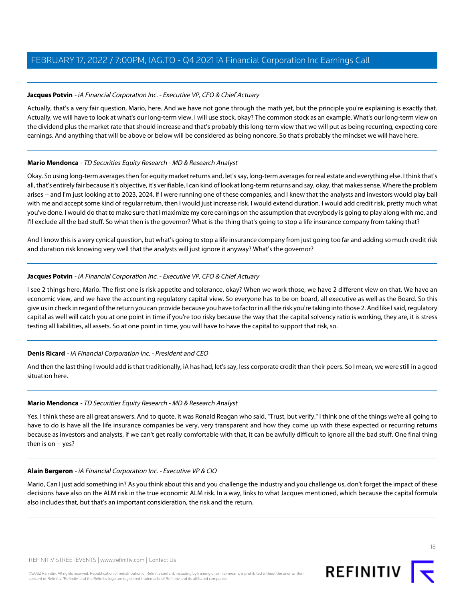### **Jacques Potvin** - iA Financial Corporation Inc. - Executive VP, CFO & Chief Actuary

Actually, that's a very fair question, Mario, here. And we have not gone through the math yet, but the principle you're explaining is exactly that. Actually, we will have to look at what's our long-term view. I will use stock, okay? The common stock as an example. What's our long-term view on the dividend plus the market rate that should increase and that's probably this long-term view that we will put as being recurring, expecting core earnings. And anything that will be above or below will be considered as being noncore. So that's probably the mindset we will have here.

### **Mario Mendonca** - TD Securities Equity Research - MD & Research Analyst

Okay. So using long-term averages then for equity market returns and, let's say, long-term averages for real estate and everything else. I think that's all, that's entirely fair because it's objective, it's verifiable, I can kind of look at long-term returns and say, okay, that makes sense. Where the problem arises -- and I'm just looking at to 2023, 2024. If I were running one of these companies, and I knew that the analysts and investors would play ball with me and accept some kind of regular return, then I would just increase risk. I would extend duration. I would add credit risk, pretty much what you've done. I would do that to make sure that I maximize my core earnings on the assumption that everybody is going to play along with me, and I'll exclude all the bad stuff. So what then is the governor? What is the thing that's going to stop a life insurance company from taking that?

And I know this is a very cynical question, but what's going to stop a life insurance company from just going too far and adding so much credit risk and duration risk knowing very well that the analysts will just ignore it anyway? What's the governor?

### **Jacques Potvin** - iA Financial Corporation Inc. - Executive VP, CFO & Chief Actuary

I see 2 things here, Mario. The first one is risk appetite and tolerance, okay? When we work those, we have 2 different view on that. We have an economic view, and we have the accounting regulatory capital view. So everyone has to be on board, all executive as well as the Board. So this give us in check in regard of the return you can provide because you have to factor in all the risk you're taking into those 2. And like I said, regulatory capital as well will catch you at one point in time if you're too risky because the way that the capital solvency ratio is working, they are, it is stress testing all liabilities, all assets. So at one point in time, you will have to have the capital to support that risk, so.

### **Denis Ricard** - iA Financial Corporation Inc. - President and CEO

And then the last thing I would add is that traditionally, iA has had, let's say, less corporate credit than their peers. So I mean, we were still in a good situation here.

### **Mario Mendonca** - TD Securities Equity Research - MD & Research Analyst

Yes. I think these are all great answers. And to quote, it was Ronald Reagan who said, "Trust, but verify." I think one of the things we're all going to have to do is have all the life insurance companies be very, very transparent and how they come up with these expected or recurring returns because as investors and analysts, if we can't get really comfortable with that, it can be awfully difficult to ignore all the bad stuff. One final thing then is on -- yes?

### **Alain Bergeron** - iA Financial Corporation Inc. - Executive VP & CIO

Mario, Can I just add something in? As you think about this and you challenge the industry and you challenge us, don't forget the impact of these decisions have also on the ALM risk in the true economic ALM risk. In a way, links to what Jacques mentioned, which because the capital formula also includes that, but that's an important consideration, the risk and the return.

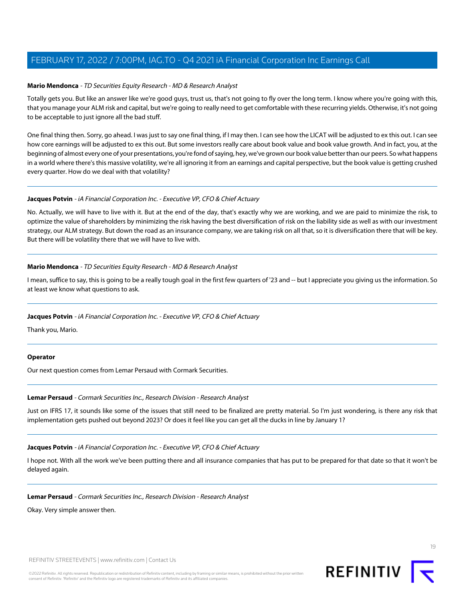### **Mario Mendonca** - TD Securities Equity Research - MD & Research Analyst

Totally gets you. But like an answer like we're good guys, trust us, that's not going to fly over the long term. I know where you're going with this, that you manage your ALM risk and capital, but we're going to really need to get comfortable with these recurring yields. Otherwise, it's not going to be acceptable to just ignore all the bad stuff.

One final thing then. Sorry, go ahead. I was just to say one final thing, if I may then. I can see how the LICAT will be adjusted to ex this out. I can see how core earnings will be adjusted to ex this out. But some investors really care about book value and book value growth. And in fact, you, at the beginning of almost every one of your presentations, you're fond of saying, hey, we've grown our book value better than our peers. So what happens in a world where there's this massive volatility, we're all ignoring it from an earnings and capital perspective, but the book value is getting crushed every quarter. How do we deal with that volatility?

### **Jacques Potvin** - iA Financial Corporation Inc. - Executive VP, CFO & Chief Actuary

No. Actually, we will have to live with it. But at the end of the day, that's exactly why we are working, and we are paid to minimize the risk, to optimize the value of shareholders by minimizing the risk having the best diversification of risk on the liability side as well as with our investment strategy, our ALM strategy. But down the road as an insurance company, we are taking risk on all that, so it is diversification there that will be key. But there will be volatility there that we will have to live with.

### **Mario Mendonca** - TD Securities Equity Research - MD & Research Analyst

I mean, suffice to say, this is going to be a really tough goal in the first few quarters of '23 and -- but I appreciate you giving us the information. So at least we know what questions to ask.

### **Jacques Potvin** - iA Financial Corporation Inc. - Executive VP, CFO & Chief Actuary

Thank you, Mario.

### <span id="page-18-0"></span>**Operator**

Our next question comes from Lemar Persaud with Cormark Securities.

### **Lemar Persaud** - Cormark Securities Inc., Research Division - Research Analyst

Just on IFRS 17, it sounds like some of the issues that still need to be finalized are pretty material. So I'm just wondering, is there any risk that implementation gets pushed out beyond 2023? Or does it feel like you can get all the ducks in line by January 1?

### **Jacques Potvin** - iA Financial Corporation Inc. - Executive VP, CFO & Chief Actuary

I hope not. With all the work we've been putting there and all insurance companies that has put to be prepared for that date so that it won't be delayed again.

### **Lemar Persaud** - Cormark Securities Inc., Research Division - Research Analyst

Okay. Very simple answer then.

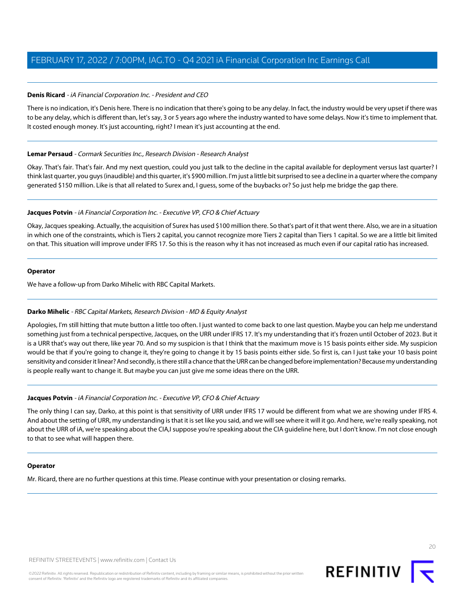### **Denis Ricard** - iA Financial Corporation Inc. - President and CEO

There is no indication, it's Denis here. There is no indication that there's going to be any delay. In fact, the industry would be very upset if there was to be any delay, which is different than, let's say, 3 or 5 years ago where the industry wanted to have some delays. Now it's time to implement that. It costed enough money. It's just accounting, right? I mean it's just accounting at the end.

### **Lemar Persaud** - Cormark Securities Inc., Research Division - Research Analyst

Okay. That's fair. That's fair. And my next question, could you just talk to the decline in the capital available for deployment versus last quarter? I think last quarter, you guys (inaudible) and this quarter, it's \$900 million. I'm just a little bit surprised to see a decline in a quarter where the company generated \$150 million. Like is that all related to Surex and, I guess, some of the buybacks or? So just help me bridge the gap there.

### **Jacques Potvin** - iA Financial Corporation Inc. - Executive VP, CFO & Chief Actuary

Okay, Jacques speaking. Actually, the acquisition of Surex has used \$100 million there. So that's part of it that went there. Also, we are in a situation in which one of the constraints, which is Tiers 2 capital, you cannot recognize more Tiers 2 capital than Tiers 1 capital. So we are a little bit limited on that. This situation will improve under IFRS 17. So this is the reason why it has not increased as much even if our capital ratio has increased.

### **Operator**

We have a follow-up from Darko Mihelic with RBC Capital Markets.

### **Darko Mihelic** - RBC Capital Markets, Research Division - MD & Equity Analyst

Apologies, I'm still hitting that mute button a little too often. I just wanted to come back to one last question. Maybe you can help me understand something just from a technical perspective, Jacques, on the URR under IFRS 17. It's my understanding that it's frozen until October of 2023. But it is a URR that's way out there, like year 70. And so my suspicion is that I think that the maximum move is 15 basis points either side. My suspicion would be that if you're going to change it, they're going to change it by 15 basis points either side. So first is, can I just take your 10 basis point sensitivity and consider it linear? And secondly, is there still a chance that the URR can be changed before implementation? Because my understanding is people really want to change it. But maybe you can just give me some ideas there on the URR.

### **Jacques Potvin** - iA Financial Corporation Inc. - Executive VP, CFO & Chief Actuary

The only thing I can say, Darko, at this point is that sensitivity of URR under IFRS 17 would be different from what we are showing under IFRS 4. And about the setting of URR, my understanding is that it is set like you said, and we will see where it will it go. And here, we're really speaking, not about the URR of iA, we're speaking about the CIA,I suppose you're speaking about the CIA guideline here, but I don't know. I'm not close enough to that to see what will happen there.

### **Operator**

Mr. Ricard, there are no further questions at this time. Please continue with your presentation or closing remarks.